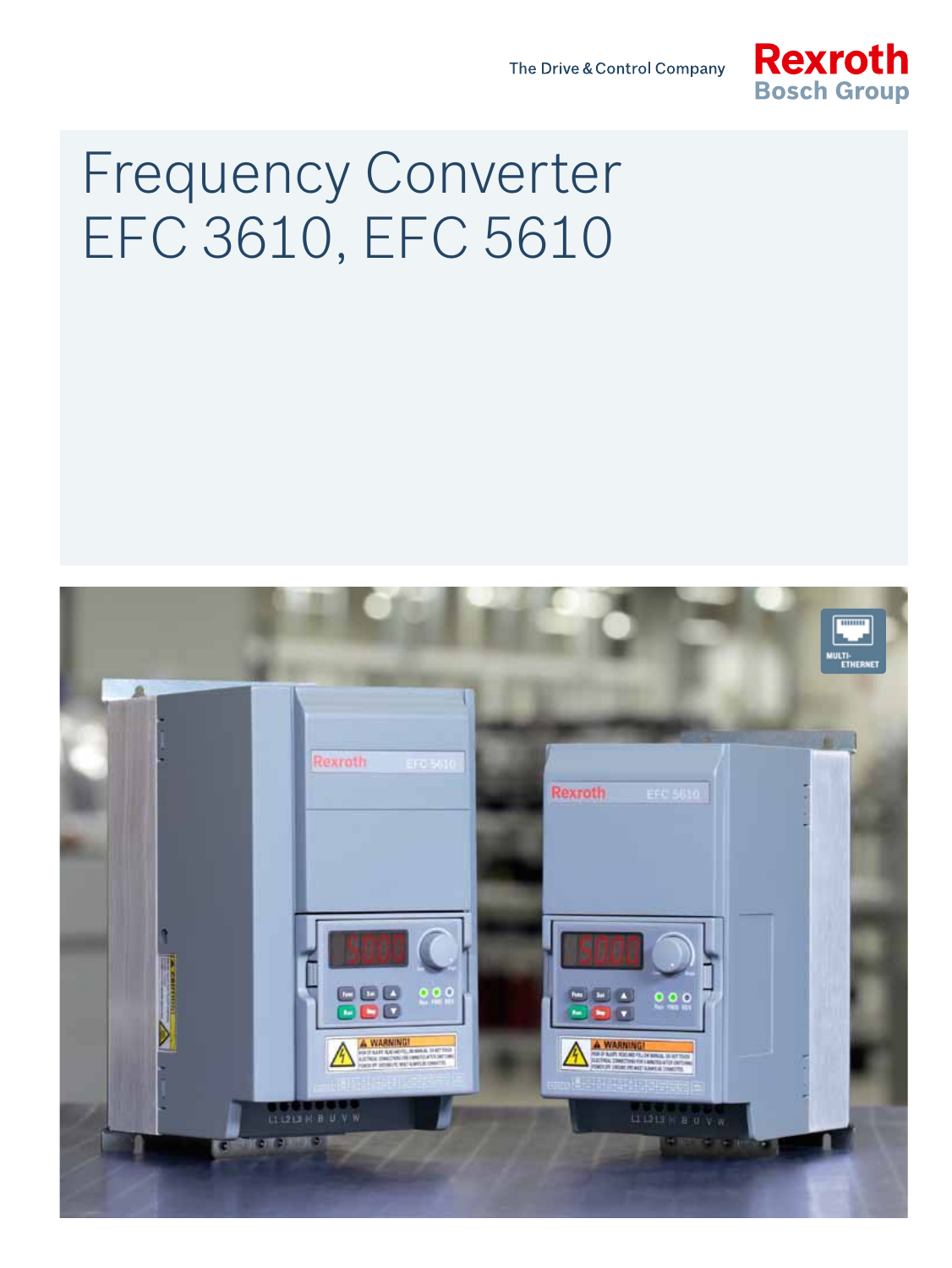The Drive & Control Company



# Frequency Converter EFC 3610, EFC 5610

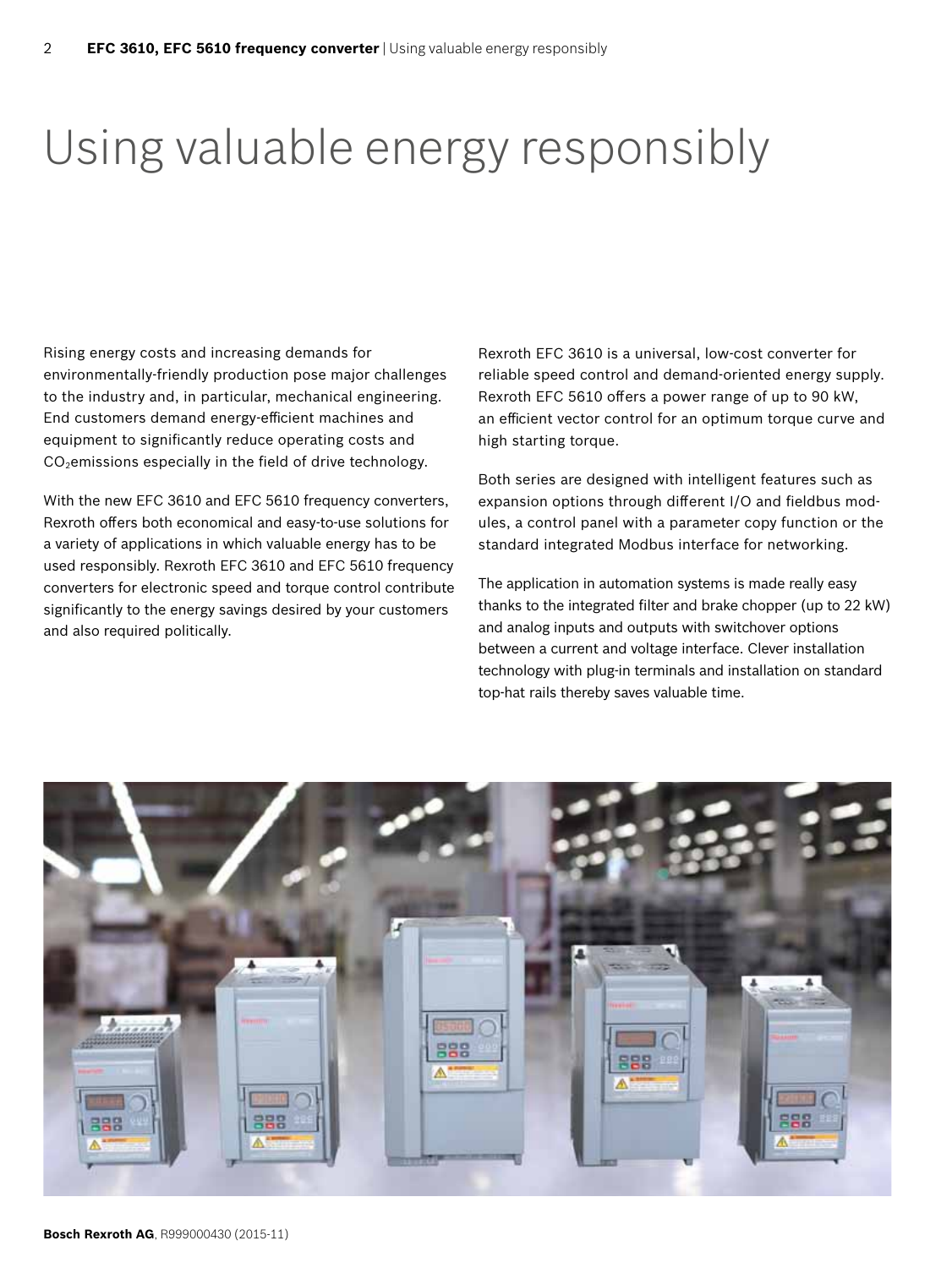### Using valuable energy responsibly

Rising energy costs and increasing demands for environmentally-friendly production pose major challenges to the industry and, in particular, mechanical engineering. End customers demand energy-efficient machines and equipment to significantly reduce operating costs and  $CO<sub>2</sub>$ emissions especially in the field of drive technology.

With the new EFC 3610 and EFC 5610 frequency converters, Rexroth offers both economical and easy-to-use solutions for a variety of applications in which valuable energy has to be used responsibly. Rexroth EFC 3610 and EFC 5610 frequency converters for electronic speed and torque control contribute significantly to the energy savings desired by your customers and also required politically.

Rexroth EFC 3610 is a universal, low-cost converter for reliable speed control and demand-oriented energy supply. Rexroth EFC 5610 offers a power range of up to 90 kW, an efficient vector control for an optimum torque curve and high starting torque.

Both series are designed with intelligent features such as expansion options through different I/O and fieldbus modules, a control panel with a parameter copy function or the standard integrated Modbus interface for networking.

The application in automation systems is made really easy thanks to the integrated filter and brake chopper (up to 22 kW) and analog inputs and outputs with switchover options between a current and voltage interface. Clever installation technology with plug-in terminals and installation on standard top-hat rails thereby saves valuable time.

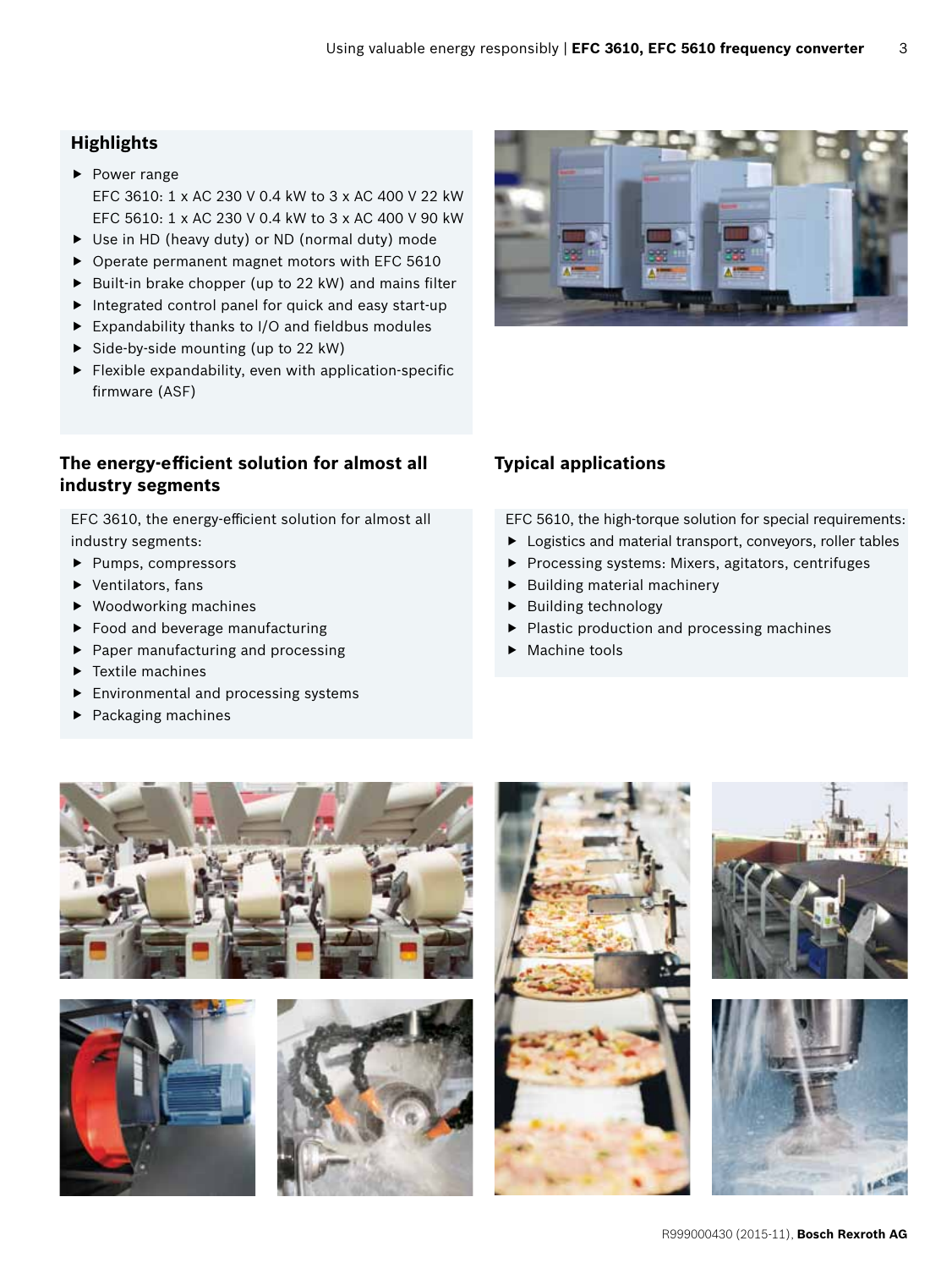### **Highlights**

- $\blacktriangleright$  Power range EFC 3610: 1 x AC 230 V 0.4 kW to 3 x AC 400 V 22 kW EFC 5610: 1 x AC 230 V 0.4 kW to 3 x AC 400 V 90 kW
- $\triangleright$  Use in HD (heavy duty) or ND (normal duty) mode
- $\triangleright$  Operate permanent magnet motors with EFC 5610
- $\triangleright$  Built-in brake chopper (up to 22 kW) and mains filter
- $\blacktriangleright$  Integrated control panel for quick and easy start-up
- $\blacktriangleright$  Expandability thanks to I/O and fieldbus modules
- $\triangleright$  Side-by-side mounting (up to 22 kW)
- $\blacktriangleright$  Flexible expandability, even with application-specific firmware (ASF)

### **The energy-efficient solution for almost all Typical applications industry segments**

EFC 3610, the energy-efficient solution for almost all industry segments:

- $\blacktriangleright$  Pumps, compressors
- $\blacktriangleright$  Ventilators, fans
- $\blacktriangleright$  Woodworking machines
- $\blacktriangleright$  Food and beverage manufacturing
- $\blacktriangleright$  Paper manufacturing and processing
- $\blacktriangleright$  Textile machines
- $\blacktriangleright$  Environmental and processing systems
- $\blacktriangleright$  Packaging machines



EFC 5610, the high-torque solution for special requirements:

- $\blacktriangleright$  Logistics and material transport, conveyors, roller tables
- **P** Processing systems: Mixers, agitators, centrifuges
- $\blacktriangleright$  Building material machinery
- $\blacktriangleright$  Building technology
- $\blacktriangleright$  Plastic production and processing machines
- $\blacktriangleright$  Machine tools











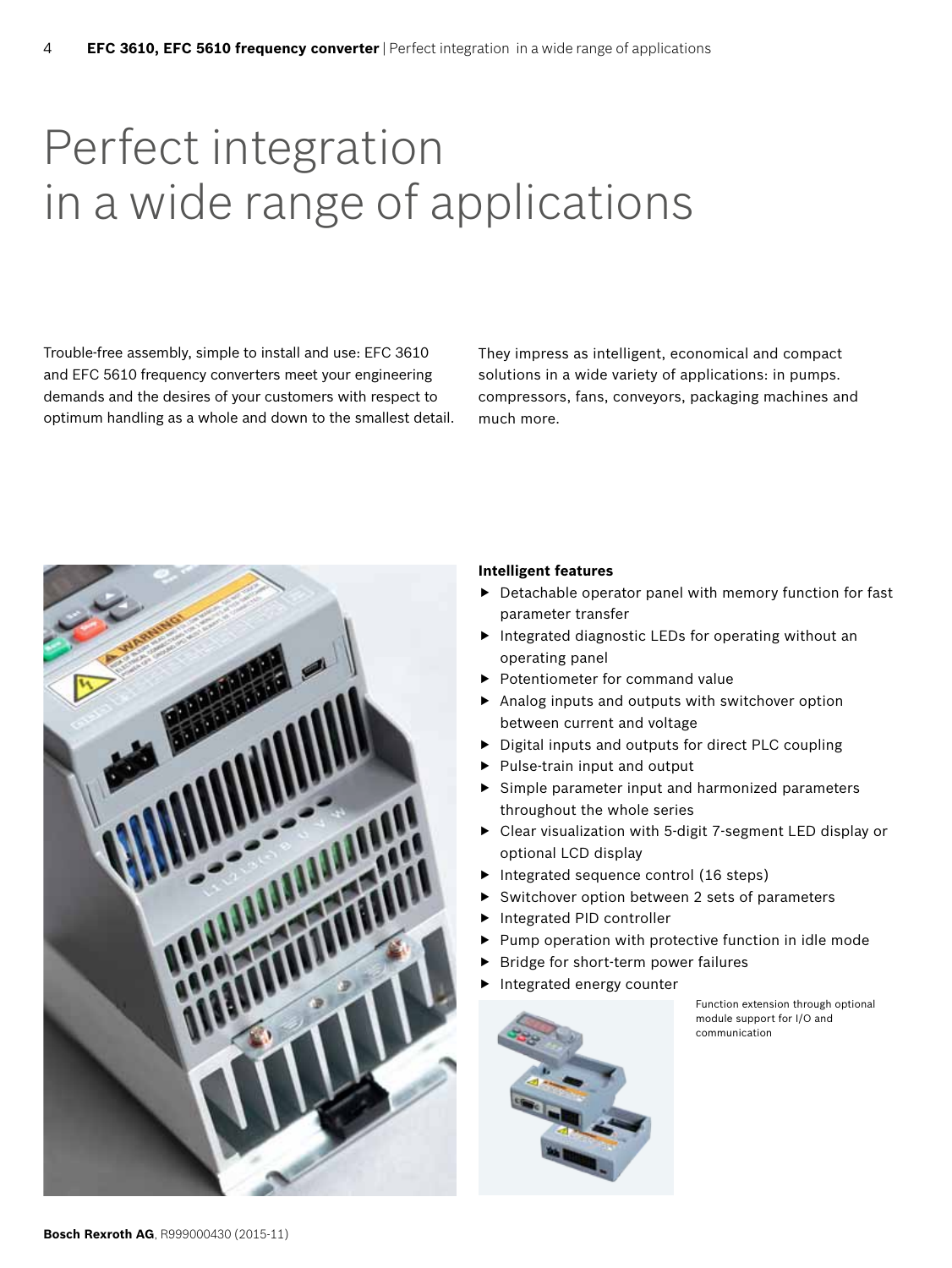### Perfect integration in a wide range of applications

Trouble-free assembly, simple to install and use: EFC 3610 and EFC 5610 frequency converters meet your engineering demands and the desires of your customers with respect to optimum handling as a whole and down to the smallest detail. They impress as intelligent, economical and compact solutions in a wide variety of applications: in pumps. compressors, fans, conveyors, packaging machines and much more.



#### **Intelligent features**

- $\blacktriangleright$  Detachable operator panel with memory function for fast parameter transfer
- $\blacktriangleright$  Integrated diagnostic LEDs for operating without an operating panel
- Potentiometer for command value
- $\blacktriangleright$  Analog inputs and outputs with switchover option between current and voltage
- $\triangleright$  Digital inputs and outputs for direct PLC coupling
- $\blacktriangleright$  Pulse-train input and output
- $\blacktriangleright$  Simple parameter input and harmonized parameters throughout the whole series
- $\triangleright$  Clear visualization with 5-digit 7-segment LED display or optional LCD display
- $\blacktriangleright$  Integrated sequence control (16 steps)
- Switchover option between 2 sets of parameters
- Integrated PID controller
- Pump operation with protective function in idle mode
- Bridge for short-term power failures
- Integrated energy counter



Function extension through optional module support for I/O and communication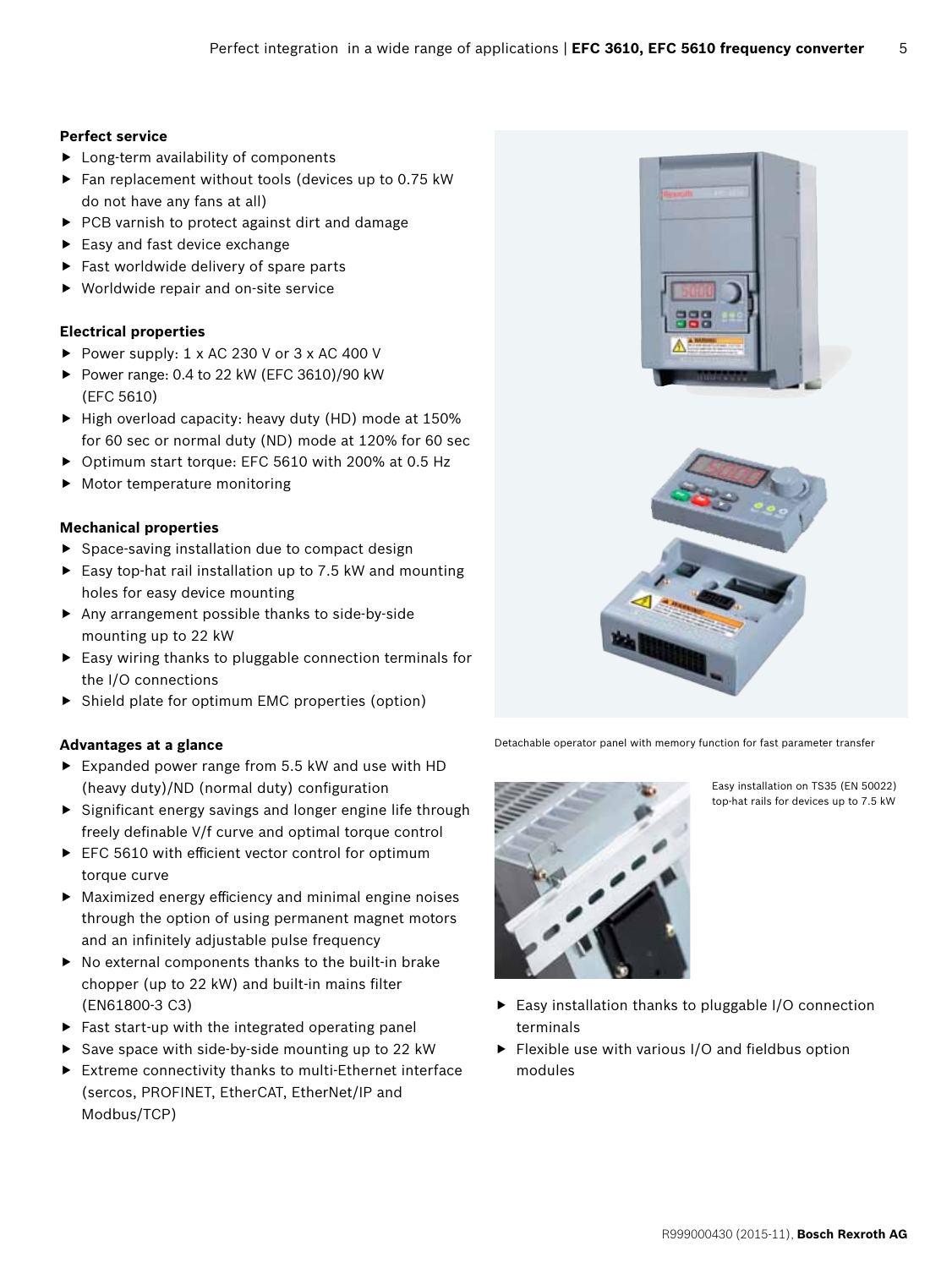#### **Perfect service**

- $\blacktriangleright$  Long-term availability of components
- $\blacktriangleright$  Fan replacement without tools (devices up to 0.75 kW do not have any fans at all)
- ▶ PCB varnish to protect against dirt and damage
- $\blacktriangleright$  Easy and fast device exchange
- $\blacktriangleright$  Fast worldwide delivery of spare parts
- $\blacktriangleright$  Worldwide repair and on-site service

#### **Electrical properties**

- Power supply:  $1 \times AC$  230 V or  $3 \times AC$  400 V
- Power range: 0.4 to 22 kW (EFC 3610)/90 kW (EFC 5610)
- $\blacktriangleright$  High overload capacity: heavy duty (HD) mode at 150% for 60 sec or normal duty (ND) mode at 120% for 60 sec
- ▶ Optimum start torque: EFC 5610 with 200% at 0.5 Hz
- $\blacktriangleright$  Motor temperature monitoring

#### **Mechanical properties**

- $\blacktriangleright$  Space-saving installation due to compact design
- $\blacktriangleright$  Easy top-hat rail installation up to 7.5 kW and mounting holes for easy device mounting
- $\blacktriangleright$  Any arrangement possible thanks to side-by-side mounting up to 22 kW
- $\blacktriangleright$  Easy wiring thanks to pluggable connection terminals for the I/O connections
- $\triangleright$  Shield plate for optimum EMC properties (option)

#### **Advantages at a glance**

- $\blacktriangleright$  Expanded power range from 5.5 kW and use with HD (heavy duty)/ND (normal duty) configuration
- $\blacktriangleright$  Significant energy savings and longer engine life through freely definable V/f curve and optimal torque control
- $\blacktriangleright$  EFC 5610 with efficient vector control for optimum torque curve
- $\blacktriangleright$  Maximized energy efficiency and minimal engine noises through the option of using permanent magnet motors and an infinitely adjustable pulse frequency
- $\blacktriangleright$  No external components thanks to the built-in brake chopper (up to 22 kW) and built-in mains filter (EN61800-3 C3)
- $\blacktriangleright$  Fast start-up with the integrated operating panel
- Save space with side-by-side mounting up to 22 kW
- $\blacktriangleright$  Extreme connectivity thanks to multi-Ethernet interface (sercos, PROFINET, EtherCAT, EtherNet/IP and Modbus/TCP)



Detachable operator panel with memory function for fast parameter transfer



Easy installation on TS35 (EN 50022) top-hat rails for devices up to 7.5 kW

- $\blacktriangleright$  Easy installation thanks to pluggable I/O connection terminals
- $\blacktriangleright$  Flexible use with various I/O and fieldbus option modules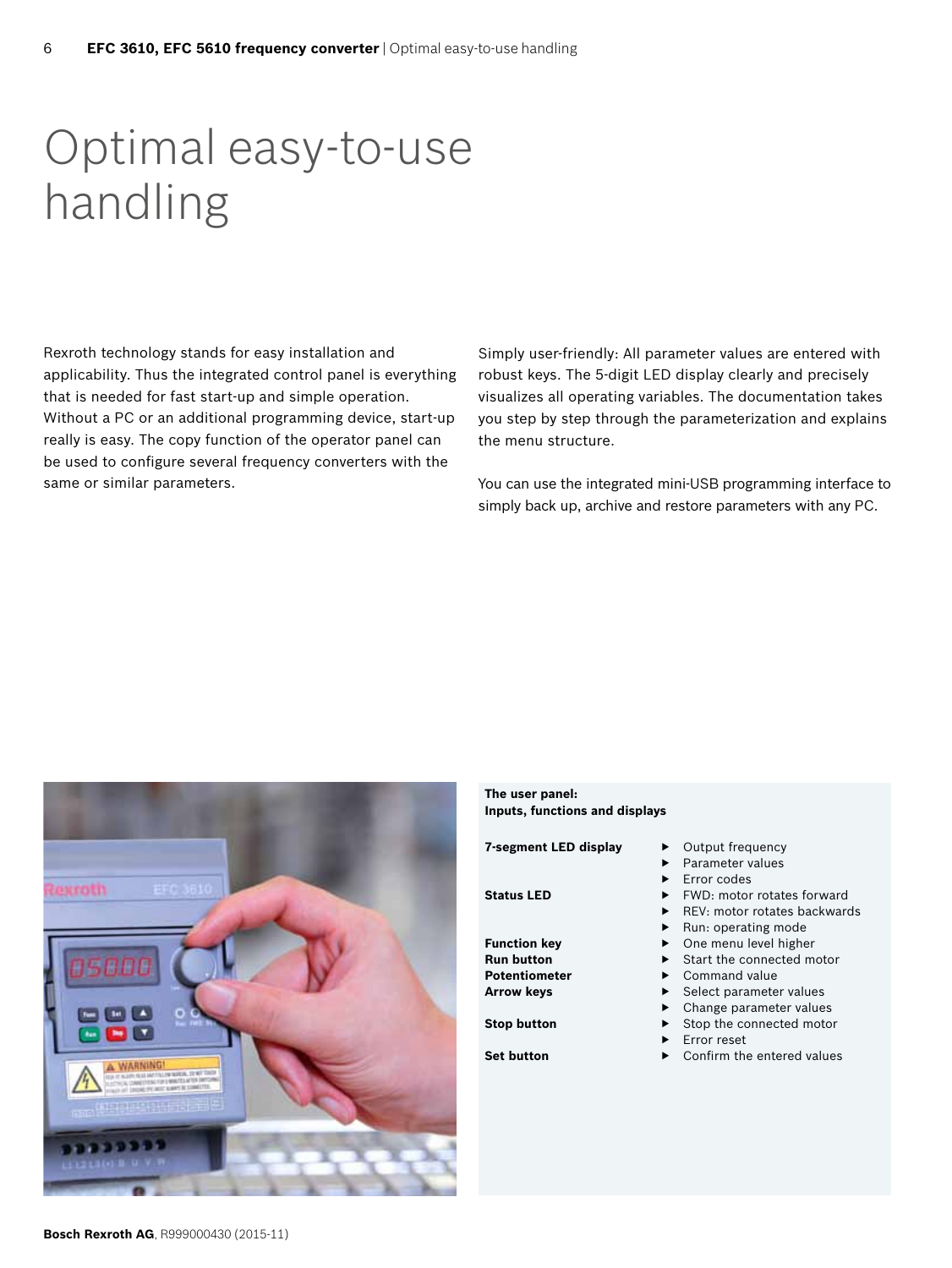### Optimal easy-to-use handling

Rexroth technology stands for easy installation and applicability. Thus the integrated control panel is everything that is needed for fast start-up and simple operation. Without a PC or an additional programming device, start-up really is easy. The copy function of the operator panel can be used to configure several frequency converters with the same or similar parameters.

Simply user-friendly: All parameter values are entered with robust keys. The 5-digit LED display clearly and precisely visualizes all operating variables. The documentation takes you step by step through the parameterization and explains the menu structure.

You can use the integrated mini-USB programming interface to simply back up, archive and restore parameters with any PC.



**The user panel: Inputs, functions and displays 7-segment LED display ▶ Output frequency** Status LED ▶ FWD: motor rotates forward

**Potentiometer** ▶ Command value **Arrow keys** ▶ Select parameter values

- 
- Parameter values
- Error codes
- 
- REV: motor rotates backwards
- Run: operating mode
- **Function key** ▶ One menu level higher
- **Run button** ▶ Start the connected motor
	-
	-
- Change parameter values **Stop button** ▶ Stop the connected motor
	- Error reset
- **Set button** ▶ Confirm the entered values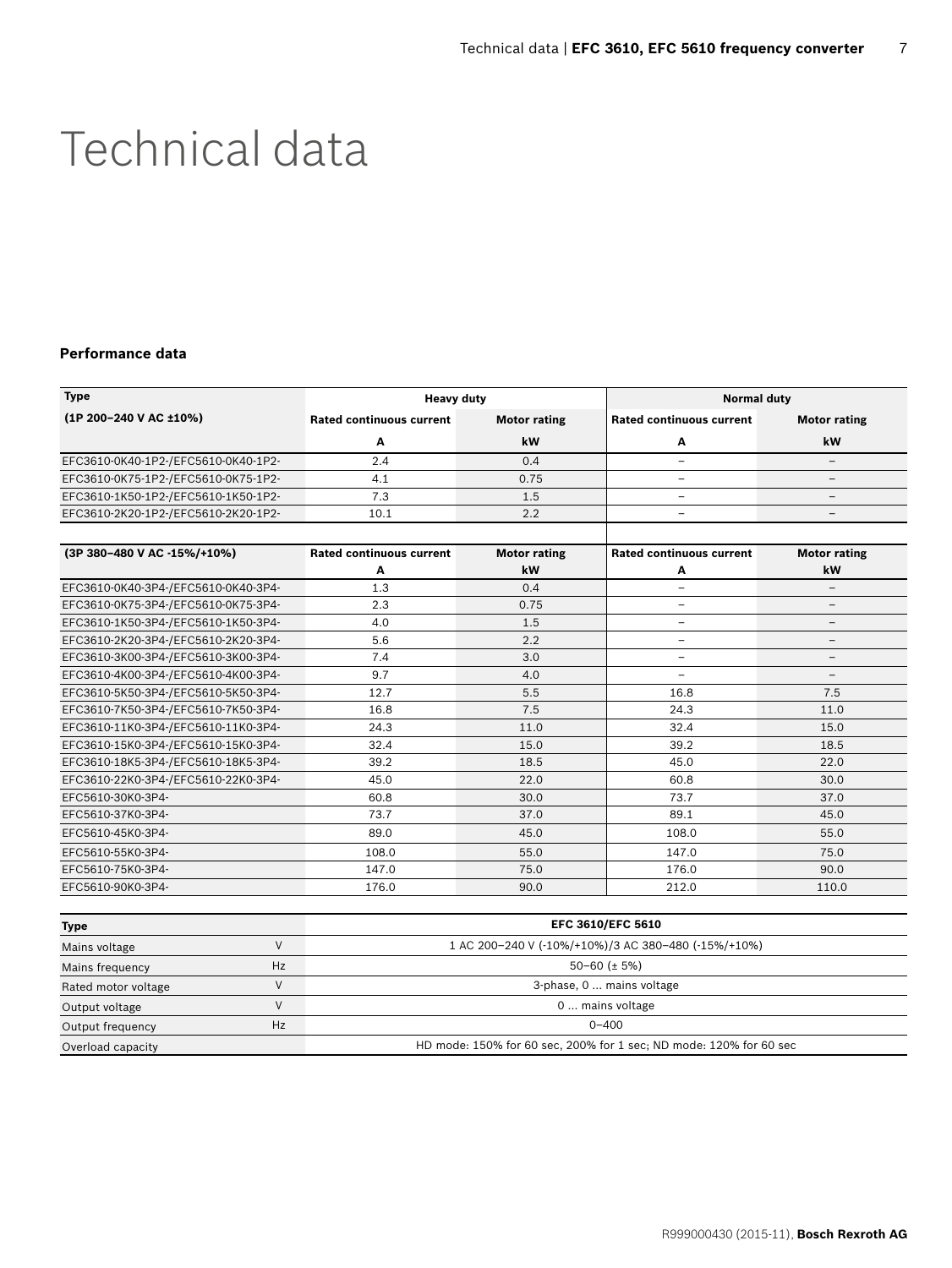### Technical data

#### **Performance data**

| <b>Type</b>                         | <b>Heavy duty</b>               |                     |                                 | <b>Normal duty</b>       |  |  |  |
|-------------------------------------|---------------------------------|---------------------|---------------------------------|--------------------------|--|--|--|
| (1P 200-240 V AC ±10%)              | <b>Rated continuous current</b> | <b>Motor rating</b> | <b>Rated continuous current</b> | <b>Motor rating</b>      |  |  |  |
|                                     | А                               | kW                  | А                               | kW                       |  |  |  |
| EFC3610-0K40-1P2-/EFC5610-0K40-1P2- | 2.4                             | 0.4                 | $\overline{\phantom{0}}$        | -                        |  |  |  |
| EFC3610-0K75-1P2-/EFC5610-0K75-1P2- | 4.1                             | 0.75                | -                               | -                        |  |  |  |
| EFC3610-1K50-1P2-/EFC5610-1K50-1P2- | 7.3                             | 1.5                 | $\overline{\phantom{0}}$        | -                        |  |  |  |
| EFC3610-2K20-1P2-/EFC5610-2K20-1P2- | 10.1                            | 2.2                 | $\overline{\phantom{0}}$        | -                        |  |  |  |
| (3P 380-480 V AC -15%/+10%)         | <b>Rated continuous current</b> | <b>Motor rating</b> | <b>Rated continuous current</b> | <b>Motor rating</b>      |  |  |  |
|                                     | А                               | kW                  | A                               | kW                       |  |  |  |
| EFC3610-0K40-3P4-/EFC5610-0K40-3P4- | 1.3                             | 0.4                 | -                               | -                        |  |  |  |
| EFC3610-0K75-3P4-/EFC5610-0K75-3P4- | 2.3                             | 0.75                | $\overline{\phantom{0}}$        | $\overline{\phantom{0}}$ |  |  |  |
| EFC3610-1K50-3P4-/EFC5610-1K50-3P4- | 4.0                             | 1.5                 | $\overline{\phantom{0}}$        | -                        |  |  |  |
| EFC3610-2K20-3P4-/EFC5610-2K20-3P4- | 5.6                             | 2.2                 | -                               | $\qquad \qquad -$        |  |  |  |
| EFC3610-3K00-3P4-/EFC5610-3K00-3P4- | 7.4                             | 3.0                 | ÷,                              | $\overline{\phantom{0}}$ |  |  |  |
| EFC3610-4K00-3P4-/EFC5610-4K00-3P4- | 9.7                             | 4.0                 | ÷,                              | $\qquad \qquad -$        |  |  |  |
| EFC3610-5K50-3P4-/EFC5610-5K50-3P4- | 12.7                            | 5.5                 | 16.8                            | 7.5                      |  |  |  |
| EFC3610-7K50-3P4-/EFC5610-7K50-3P4- | 16.8                            | 7.5                 | 24.3                            | 11.0                     |  |  |  |
| EFC3610-11K0-3P4-/EFC5610-11K0-3P4- | 24.3                            | 11.0                | 32.4                            | 15.0                     |  |  |  |
| EFC3610-15K0-3P4-/EFC5610-15K0-3P4- | 32.4                            | 15.0                | 39.2                            | 18.5                     |  |  |  |
| EFC3610-18K5-3P4-/EFC5610-18K5-3P4- | 39.2                            | 18.5                | 45.0                            | 22.0                     |  |  |  |
| EFC3610-22K0-3P4-/EFC5610-22K0-3P4- | 45.0                            | 22.0                | 60.8                            | 30.0                     |  |  |  |
| EFC5610-30K0-3P4-                   | 60.8                            | 30.0                | 73.7                            | 37.0                     |  |  |  |
| EFC5610-37K0-3P4-                   | 73.7                            | 37.0                | 89.1                            | 45.0                     |  |  |  |
| EFC5610-45K0-3P4-                   | 89.0                            | 45.0                | 108.0                           | 55.0                     |  |  |  |
| EFC5610-55K0-3P4-                   | 108.0                           | 55.0                | 147.0                           | 75.0                     |  |  |  |
| EFC5610-75K0-3P4-                   | 147.0                           | 75.0                | 176.0                           | 90.0                     |  |  |  |
| EFC5610-90K0-3P4-                   | 176.0                           | 90.0                | 212.0                           | 110.0                    |  |  |  |

| <b>Type</b>         |    | <b>EFC 3610/EFC 5610</b>                                           |  |
|---------------------|----|--------------------------------------------------------------------|--|
| Mains voltage       |    | 1 AC 200-240 V (-10%/+10%)/3 AC 380-480 (-15%/+10%)                |  |
| Mains frequency     | Hz | $50 - 60$ ( $\pm$ 5%)                                              |  |
| Rated motor voltage |    | 3-phase, 0  mains voltage                                          |  |
| Output voltage      |    | 0  mains voltage                                                   |  |
| Output frequency    | Hz | $0 - 400$                                                          |  |
| Overload capacity   |    | HD mode: 150% for 60 sec, 200% for 1 sec; ND mode: 120% for 60 sec |  |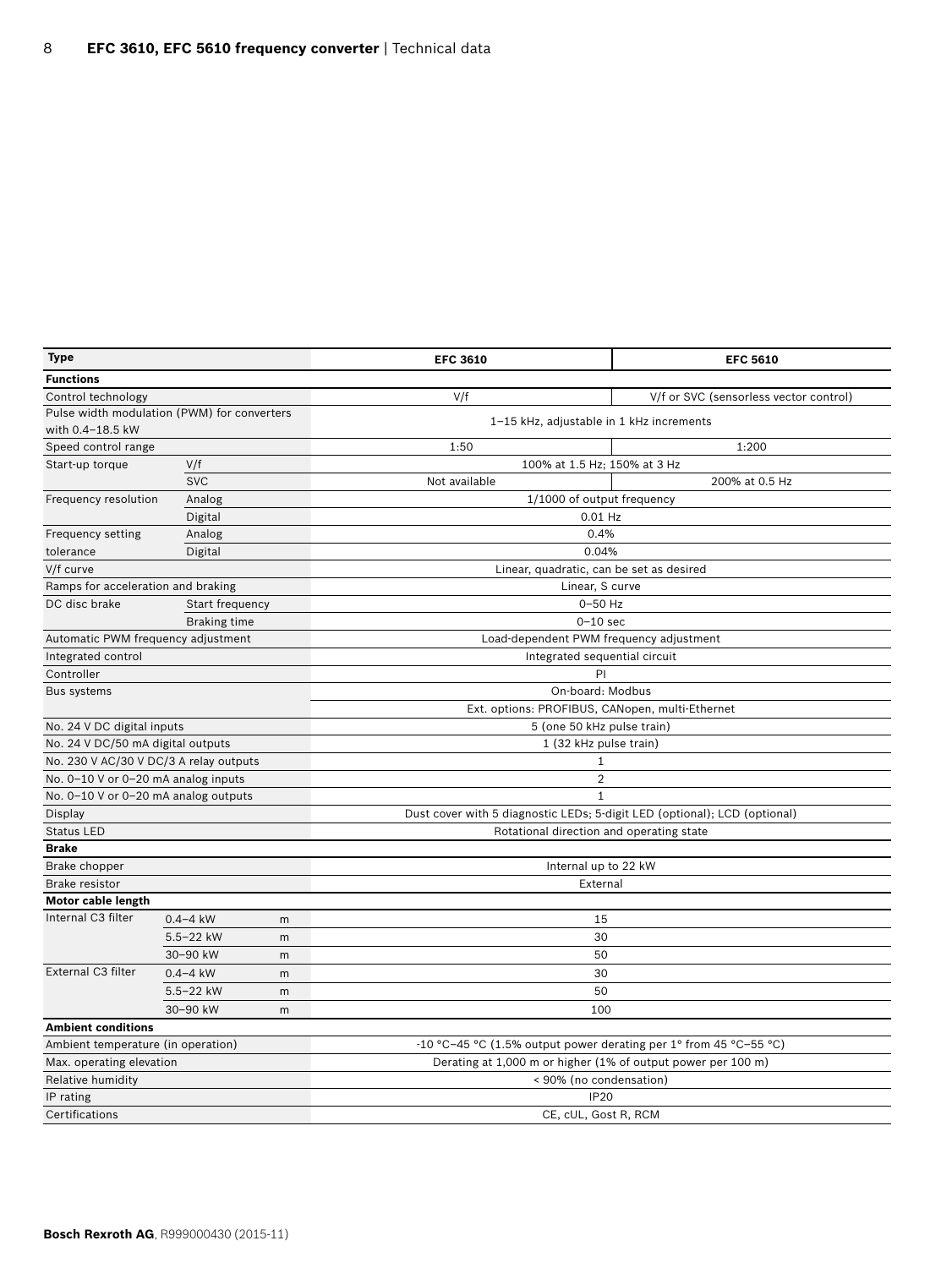| Type                                        |                     |   | <b>EFC 3610</b>                                                           | <b>EFC 5610</b>                        |  |  |  |
|---------------------------------------------|---------------------|---|---------------------------------------------------------------------------|----------------------------------------|--|--|--|
| <b>Functions</b>                            |                     |   |                                                                           |                                        |  |  |  |
| Control technology                          |                     |   | V/f                                                                       | V/f or SVC (sensorless vector control) |  |  |  |
| Pulse width modulation (PWM) for converters |                     |   | 1-15 kHz, adjustable in 1 kHz increments                                  |                                        |  |  |  |
| with 0.4-18.5 kW                            |                     |   |                                                                           |                                        |  |  |  |
| Speed control range                         |                     |   | 1:50                                                                      | 1:200                                  |  |  |  |
| Start-up torque                             | V/f                 |   | 100% at 1.5 Hz; 150% at 3 Hz                                              |                                        |  |  |  |
|                                             | <b>SVC</b>          |   | Not available                                                             | 200% at 0.5 Hz                         |  |  |  |
| Frequency resolution                        | Analog              |   | 1/1000 of output frequency                                                |                                        |  |  |  |
|                                             | Digital             |   | 0.01 Hz                                                                   |                                        |  |  |  |
| Frequency setting                           | Analog              |   | 0.4%                                                                      |                                        |  |  |  |
| tolerance                                   | Digital             |   | 0.04%                                                                     |                                        |  |  |  |
| V/f curve                                   |                     |   | Linear, quadratic, can be set as desired                                  |                                        |  |  |  |
| Ramps for acceleration and braking          |                     |   | Linear, S curve                                                           |                                        |  |  |  |
| DC disc brake                               | Start frequency     |   | 0-50 Hz                                                                   |                                        |  |  |  |
|                                             | <b>Braking time</b> |   | $0-10$ sec                                                                |                                        |  |  |  |
| Automatic PWM frequency adjustment          |                     |   | Load-dependent PWM frequency adjustment                                   |                                        |  |  |  |
| Integrated control                          |                     |   | Integrated sequential circuit                                             |                                        |  |  |  |
| Controller                                  |                     |   | PI                                                                        |                                        |  |  |  |
| Bus systems                                 |                     |   | On-board: Modbus                                                          |                                        |  |  |  |
|                                             |                     |   | Ext. options: PROFIBUS, CANopen, multi-Ethernet                           |                                        |  |  |  |
| No. 24 V DC digital inputs                  |                     |   | 5 (one 50 kHz pulse train)                                                |                                        |  |  |  |
| No. 24 V DC/50 mA digital outputs           |                     |   | 1 (32 kHz pulse train)                                                    |                                        |  |  |  |
| No. 230 V AC/30 V DC/3 A relay outputs      |                     |   | $\mathbf{1}$                                                              |                                        |  |  |  |
| No. 0-10 V or 0-20 mA analog inputs         |                     |   | 2                                                                         |                                        |  |  |  |
| No. 0-10 V or 0-20 mA analog outputs        |                     |   | $\mathbf{1}$                                                              |                                        |  |  |  |
| Display                                     |                     |   | Dust cover with 5 diagnostic LEDs; 5-digit LED (optional); LCD (optional) |                                        |  |  |  |
| <b>Status LED</b>                           |                     |   | Rotational direction and operating state                                  |                                        |  |  |  |
| <b>Brake</b>                                |                     |   |                                                                           |                                        |  |  |  |
| Brake chopper                               |                     |   | Internal up to 22 kW                                                      |                                        |  |  |  |
| Brake resistor                              |                     |   | External                                                                  |                                        |  |  |  |
| Motor cable length                          |                     |   |                                                                           |                                        |  |  |  |
| Internal C3 filter                          | $0.4 - 4$ kW        | m | 15                                                                        |                                        |  |  |  |
|                                             | $5.5 - 22$ kW       | m | 30                                                                        |                                        |  |  |  |
|                                             | 30-90 kW            | m | 50                                                                        |                                        |  |  |  |
| External C3 filter                          | $0.4 - 4$ kW        | m | 30                                                                        |                                        |  |  |  |
|                                             | $5.5 - 22$ kW       | m | 50                                                                        |                                        |  |  |  |
| 30-90 kW<br>m                               |                     |   | 100                                                                       |                                        |  |  |  |
| <b>Ambient conditions</b>                   |                     |   |                                                                           |                                        |  |  |  |
| Ambient temperature (in operation)          |                     |   | -10 °C-45 °C (1.5% output power derating per 1° from 45 °C-55 °C)         |                                        |  |  |  |
| Max. operating elevation                    |                     |   | Derating at 1,000 m or higher (1% of output power per 100 m)              |                                        |  |  |  |
| Relative humidity                           |                     |   | < 90% (no condensation)                                                   |                                        |  |  |  |
| IP rating                                   |                     |   | <b>IP20</b>                                                               |                                        |  |  |  |
| Certifications<br>CE, cUL, Gost R, RCM      |                     |   |                                                                           |                                        |  |  |  |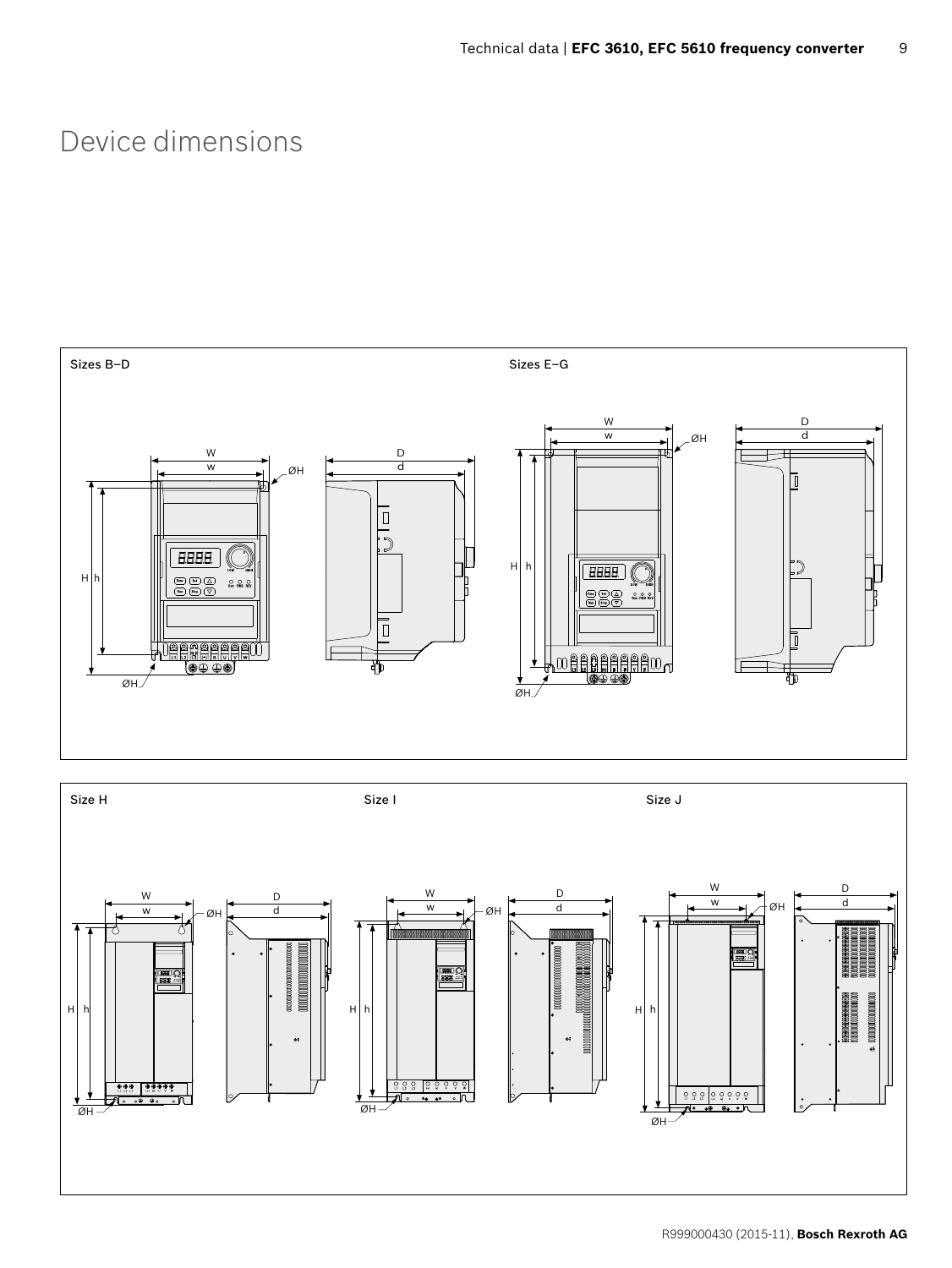### Device dimensions



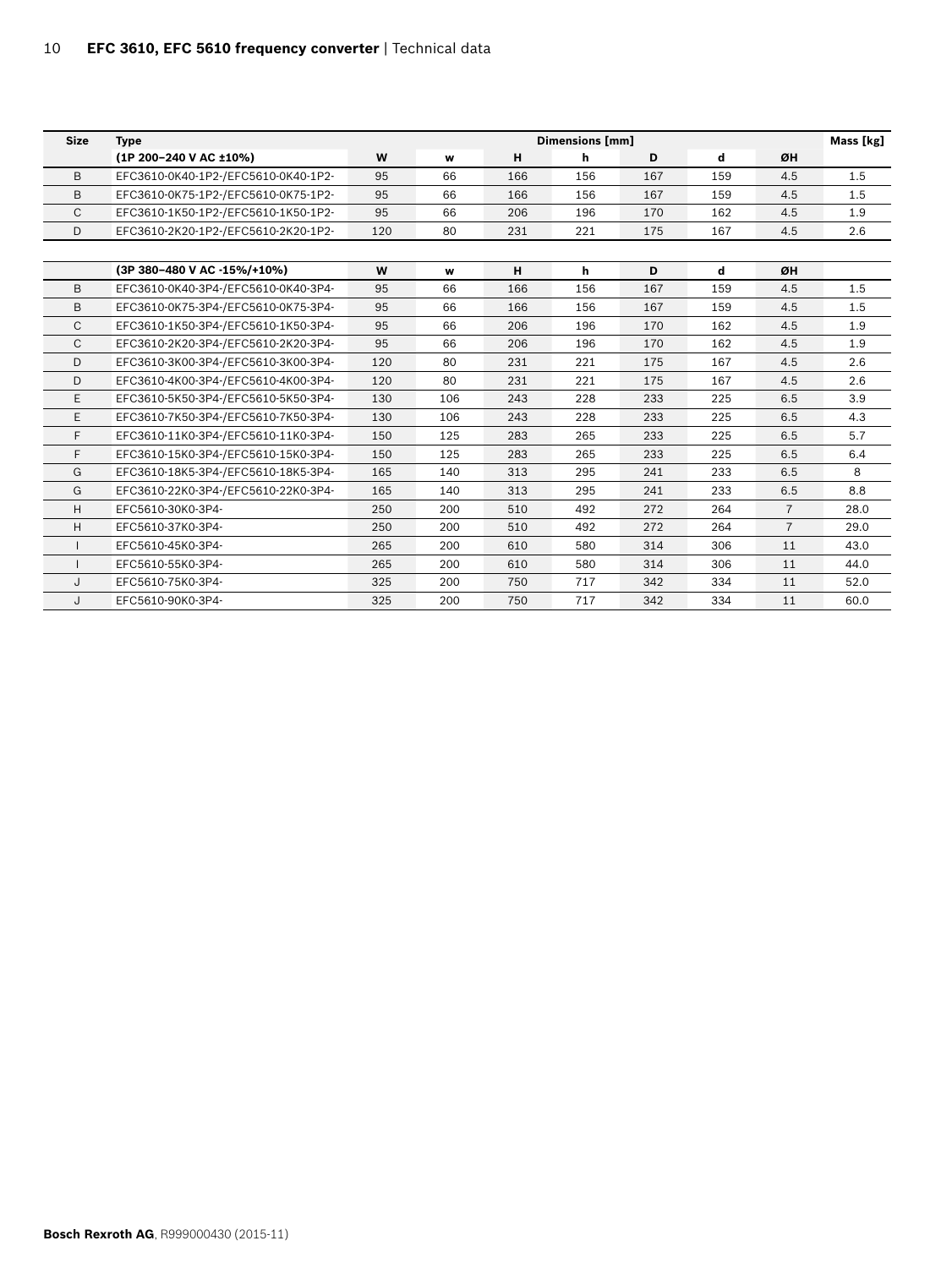| <b>Size</b>  | <b>Dimensions [mm]</b><br><b>Type</b> |     |     |     | Mass [kg] |     |     |                |      |
|--------------|---------------------------------------|-----|-----|-----|-----------|-----|-----|----------------|------|
|              | (1P 200-240 V AC ±10%)                | W   | w   | н   | h         | D   | d   | ØH             |      |
| B            | EFC3610-0K40-1P2-/EFC5610-0K40-1P2-   | 95  | 66  | 166 | 156       | 167 | 159 | 4.5            | 1.5  |
| B            | EFC3610-0K75-1P2-/EFC5610-0K75-1P2-   | 95  | 66  | 166 | 156       | 167 | 159 | 4.5            | 1.5  |
| C            | EFC3610-1K50-1P2-/EFC5610-1K50-1P2-   | 95  | 66  | 206 | 196       | 170 | 162 | 4.5            | 1.9  |
| D            | EFC3610-2K20-1P2-/EFC5610-2K20-1P2-   | 120 | 80  | 231 | 221       | 175 | 167 | 4.5            | 2.6  |
|              |                                       |     |     |     |           |     |     |                |      |
|              | (3P 380-480 V AC -15%/+10%)           | W   | w   | н   | h         | D   | d   | ØH             |      |
| B            | EFC3610-0K40-3P4-/EFC5610-0K40-3P4-   | 95  | 66  | 166 | 156       | 167 | 159 | 4.5            | 1.5  |
| B            | EFC3610-0K75-3P4-/EFC5610-0K75-3P4-   | 95  | 66  | 166 | 156       | 167 | 159 | 4.5            | 1.5  |
| $\mathsf{C}$ | EFC3610-1K50-3P4-/EFC5610-1K50-3P4-   | 95  | 66  | 206 | 196       | 170 | 162 | 4.5            | 1.9  |
| C            | EFC3610-2K20-3P4-/EFC5610-2K20-3P4-   | 95  | 66  | 206 | 196       | 170 | 162 | 4.5            | 1.9  |
| D            | EFC3610-3K00-3P4-/EFC5610-3K00-3P4-   | 120 | 80  | 231 | 221       | 175 | 167 | 4.5            | 2.6  |
| D            | EFC3610-4K00-3P4-/EFC5610-4K00-3P4-   | 120 | 80  | 231 | 221       | 175 | 167 | 4.5            | 2.6  |
| E            | EFC3610-5K50-3P4-/EFC5610-5K50-3P4-   | 130 | 106 | 243 | 228       | 233 | 225 | 6.5            | 3.9  |
| E            | EFC3610-7K50-3P4-/EFC5610-7K50-3P4-   | 130 | 106 | 243 | 228       | 233 | 225 | 6.5            | 4.3  |
| F            | EFC3610-11K0-3P4-/EFC5610-11K0-3P4-   | 150 | 125 | 283 | 265       | 233 | 225 | 6.5            | 5.7  |
| E            | EFC3610-15K0-3P4-/EFC5610-15K0-3P4-   | 150 | 125 | 283 | 265       | 233 | 225 | 6.5            | 6.4  |
| G            | EFC3610-18K5-3P4-/EFC5610-18K5-3P4-   | 165 | 140 | 313 | 295       | 241 | 233 | 6.5            | 8    |
| G            | EFC3610-22K0-3P4-/EFC5610-22K0-3P4-   | 165 | 140 | 313 | 295       | 241 | 233 | 6.5            | 8.8  |
| H            | EFC5610-30K0-3P4-                     | 250 | 200 | 510 | 492       | 272 | 264 | $\overline{7}$ | 28.0 |
| Η            | EFC5610-37K0-3P4-                     | 250 | 200 | 510 | 492       | 272 | 264 | $\overline{7}$ | 29.0 |
|              | EFC5610-45K0-3P4-                     | 265 | 200 | 610 | 580       | 314 | 306 | 11             | 43.0 |
|              | EFC5610-55K0-3P4-                     | 265 | 200 | 610 | 580       | 314 | 306 | 11             | 44.0 |
| J            | EFC5610-75K0-3P4-                     | 325 | 200 | 750 | 717       | 342 | 334 | 11             | 52.0 |
| J            | EFC5610-90K0-3P4-                     | 325 | 200 | 750 | 717       | 342 | 334 | 11             | 60.0 |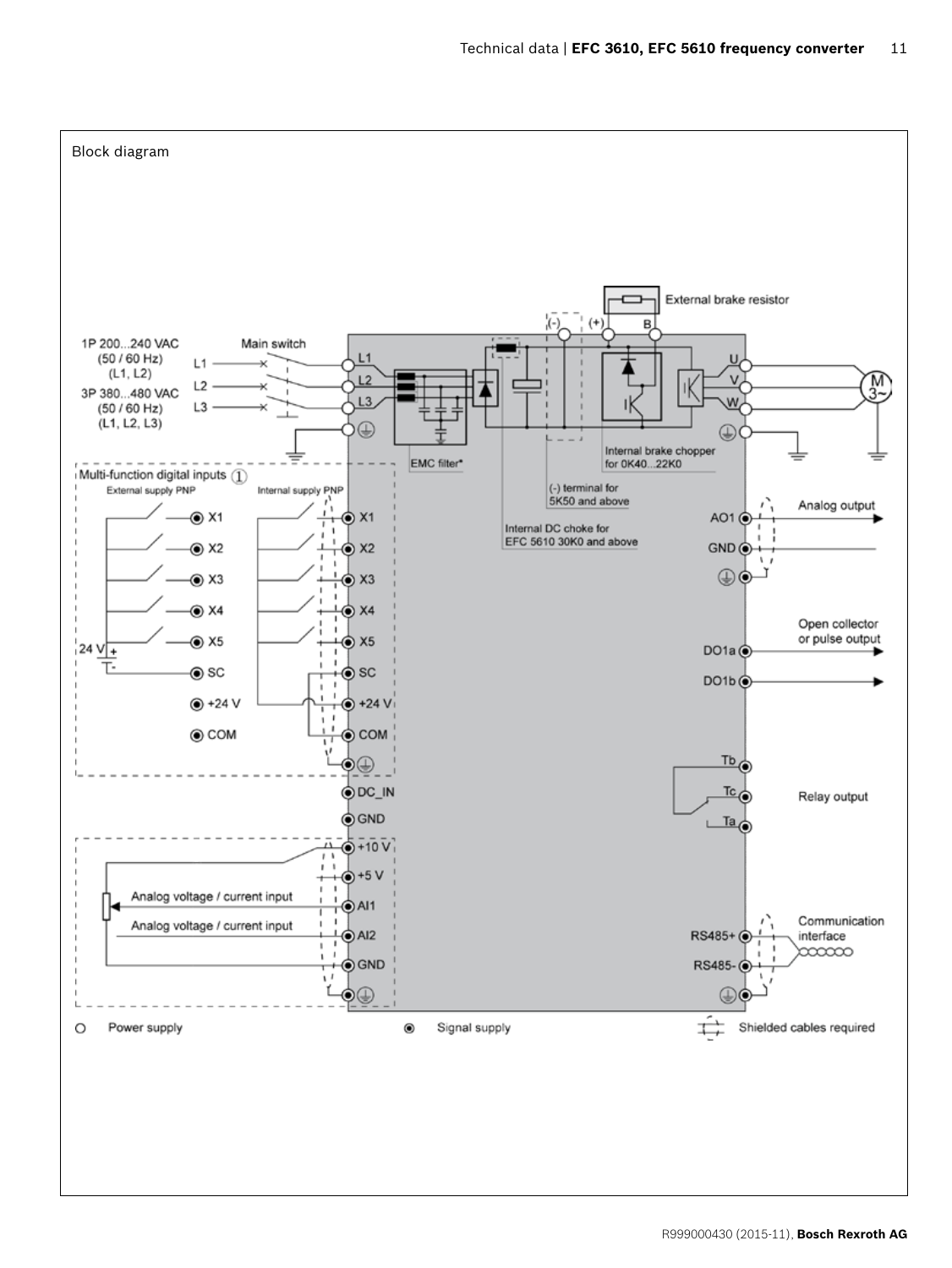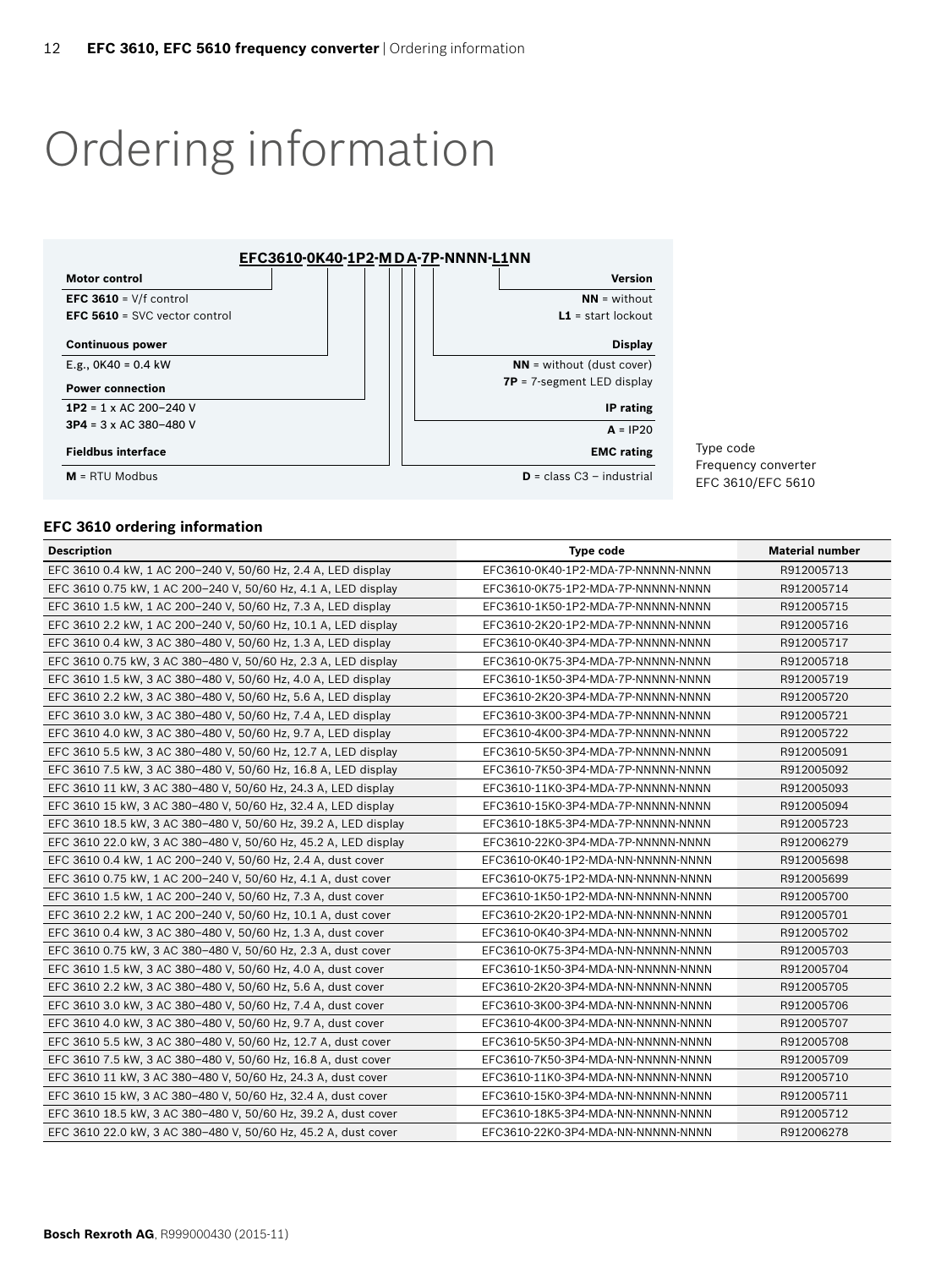## Ordering information



Type code Frequency converter EFC 3610/EFC 5610

#### **EFC 3610 ordering information**

| <b>Description</b>                                              | <b>Type code</b>                   | <b>Material number</b> |
|-----------------------------------------------------------------|------------------------------------|------------------------|
| EFC 3610 0.4 kW, 1 AC 200-240 V, 50/60 Hz, 2.4 A, LED display   | EFC3610-0K40-1P2-MDA-7P-NNNNN-NNNN | R912005713             |
| EFC 3610 0.75 kW, 1 AC 200-240 V, 50/60 Hz, 4.1 A, LED display  | EFC3610-0K75-1P2-MDA-7P-NNNNN-NNNN | R912005714             |
| EFC 3610 1.5 kW, 1 AC 200-240 V, 50/60 Hz, 7.3 A, LED display   | EFC3610-1K50-1P2-MDA-7P-NNNNN-NNNN | R912005715             |
| EFC 3610 2.2 kW, 1 AC 200-240 V, 50/60 Hz, 10.1 A, LED display  | EFC3610-2K20-1P2-MDA-7P-NNNNN-NNNN | R912005716             |
| EFC 3610 0.4 kW, 3 AC 380-480 V, 50/60 Hz, 1.3 A, LED display   | EFC3610-0K40-3P4-MDA-7P-NNNNN-NNNN | R912005717             |
| EFC 3610 0.75 kW, 3 AC 380-480 V, 50/60 Hz, 2.3 A, LED display  | EFC3610-0K75-3P4-MDA-7P-NNNNN-NNNN | R912005718             |
| EFC 3610 1.5 kW, 3 AC 380-480 V, 50/60 Hz, 4.0 A, LED display   | EFC3610-1K50-3P4-MDA-7P-NNNNN-NNNN | R912005719             |
| EFC 3610 2.2 kW, 3 AC 380-480 V, 50/60 Hz, 5.6 A, LED display   | EFC3610-2K20-3P4-MDA-7P-NNNNN-NNNN | R912005720             |
| EFC 3610 3.0 kW, 3 AC 380-480 V, 50/60 Hz, 7.4 A, LED display   | EFC3610-3K00-3P4-MDA-7P-NNNNN-NNNN | R912005721             |
| EFC 3610 4.0 kW, 3 AC 380-480 V, 50/60 Hz, 9.7 A, LED display   | EFC3610-4K00-3P4-MDA-7P-NNNNN-NNNN | R912005722             |
| EFC 3610 5.5 kW, 3 AC 380-480 V, 50/60 Hz, 12.7 A, LED display  | EFC3610-5K50-3P4-MDA-7P-NNNNN-NNNN | R912005091             |
| EFC 3610 7.5 kW, 3 AC 380-480 V, 50/60 Hz, 16.8 A, LED display  | EFC3610-7K50-3P4-MDA-7P-NNNNN-NNNN | R912005092             |
| EFC 3610 11 kW, 3 AC 380-480 V, 50/60 Hz, 24.3 A, LED display   | EFC3610-11K0-3P4-MDA-7P-NNNNN-NNNN | R912005093             |
| EFC 3610 15 kW, 3 AC 380-480 V, 50/60 Hz, 32.4 A, LED display   | EFC3610-15K0-3P4-MDA-7P-NNNNN-NNNN | R912005094             |
| EFC 3610 18.5 kW, 3 AC 380-480 V, 50/60 Hz, 39.2 A, LED display | EFC3610-18K5-3P4-MDA-7P-NNNNN-NNNN | R912005723             |
| EFC 3610 22.0 kW, 3 AC 380-480 V, 50/60 Hz, 45.2 A, LED display | EFC3610-22K0-3P4-MDA-7P-NNNNN-NNNN | R912006279             |
| EFC 3610 0.4 kW, 1 AC 200-240 V, 50/60 Hz, 2.4 A, dust cover    | EFC3610-0K40-1P2-MDA-NN-NNNNN-NNNN | R912005698             |
| EFC 3610 0.75 kW, 1 AC 200-240 V, 50/60 Hz, 4.1 A, dust cover   | EFC3610-0K75-1P2-MDA-NN-NNNNN-NNNN | R912005699             |
| EFC 3610 1.5 kW, 1 AC 200-240 V, 50/60 Hz, 7.3 A, dust cover    | EFC3610-1K50-1P2-MDA-NN-NNNNN-NNNN | R912005700             |
| EFC 3610 2.2 kW, 1 AC 200-240 V, 50/60 Hz, 10.1 A, dust cover   | EFC3610-2K20-1P2-MDA-NN-NNNNN-NNNN | R912005701             |
| EFC 3610 0.4 kW, 3 AC 380-480 V, 50/60 Hz, 1.3 A, dust cover    | EFC3610-0K40-3P4-MDA-NN-NNNNN-NNNN | R912005702             |
| EFC 3610 0.75 kW, 3 AC 380-480 V, 50/60 Hz, 2.3 A, dust cover   | EFC3610-0K75-3P4-MDA-NN-NNNNN-NNNN | R912005703             |
| EFC 3610 1.5 kW, 3 AC 380-480 V, 50/60 Hz, 4.0 A, dust cover    | EFC3610-1K50-3P4-MDA-NN-NNNNN-NNNN | R912005704             |
| EFC 3610 2.2 kW, 3 AC 380-480 V, 50/60 Hz, 5.6 A, dust cover    | EFC3610-2K20-3P4-MDA-NN-NNNNN-NNNN | R912005705             |
| EFC 3610 3.0 kW, 3 AC 380-480 V, 50/60 Hz, 7.4 A, dust cover    | EFC3610-3K00-3P4-MDA-NN-NNNNN-NNNN | R912005706             |
| EFC 3610 4.0 kW, 3 AC 380-480 V, 50/60 Hz, 9.7 A, dust cover    | EFC3610-4K00-3P4-MDA-NN-NNNNN-NNNN | R912005707             |
| EFC 3610 5.5 kW, 3 AC 380-480 V, 50/60 Hz, 12.7 A, dust cover   | EFC3610-5K50-3P4-MDA-NN-NNNNN-NNNN | R912005708             |
| EFC 3610 7.5 kW, 3 AC 380-480 V, 50/60 Hz, 16.8 A, dust cover   | EFC3610-7K50-3P4-MDA-NN-NNNNN-NNNN | R912005709             |
| EFC 3610 11 kW, 3 AC 380-480 V, 50/60 Hz, 24.3 A, dust cover    | EFC3610-11K0-3P4-MDA-NN-NNNNN-NNNN | R912005710             |
| EFC 3610 15 kW, 3 AC 380-480 V, 50/60 Hz, 32.4 A, dust cover    | EFC3610-15K0-3P4-MDA-NN-NNNNN-NNNN | R912005711             |
| EFC 3610 18.5 kW, 3 AC 380-480 V, 50/60 Hz, 39.2 A, dust cover  | EFC3610-18K5-3P4-MDA-NN-NNNNN-NNNN | R912005712             |
| EFC 3610 22.0 kW, 3 AC 380-480 V, 50/60 Hz, 45.2 A, dust cover  | EFC3610-22K0-3P4-MDA-NN-NNNNN-NNNN | R912006278             |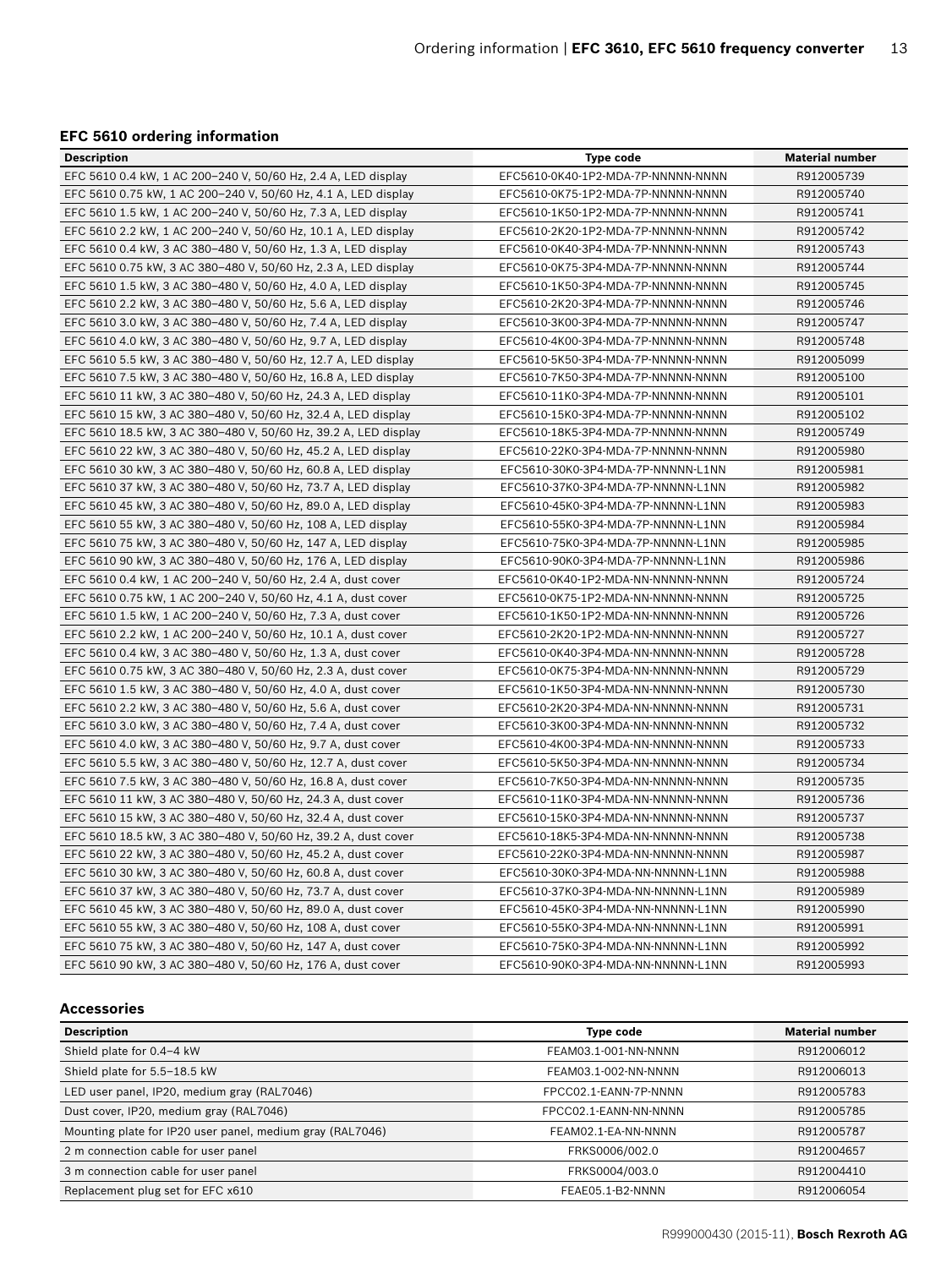#### **EFC 5610 ordering information**

| <b>Description</b>                                              | <b>Type code</b>                   | <b>Material number</b> |
|-----------------------------------------------------------------|------------------------------------|------------------------|
| EFC 5610 0.4 kW, 1 AC 200-240 V, 50/60 Hz, 2.4 A, LED display   | EFC5610-0K40-1P2-MDA-7P-NNNNN-NNNN | R912005739             |
| EFC 5610 0.75 kW, 1 AC 200-240 V, 50/60 Hz, 4.1 A, LED display  | EFC5610-0K75-1P2-MDA-7P-NNNNN-NNNN | R912005740             |
| EFC 5610 1.5 kW, 1 AC 200-240 V, 50/60 Hz, 7.3 A, LED display   | EFC5610-1K50-1P2-MDA-7P-NNNNN-NNNN | R912005741             |
| EFC 5610 2.2 kW, 1 AC 200-240 V, 50/60 Hz, 10.1 A, LED display  | EFC5610-2K20-1P2-MDA-7P-NNNNN-NNNN | R912005742             |
| EFC 5610 0.4 kW, 3 AC 380-480 V, 50/60 Hz, 1.3 A, LED display   | EFC5610-0K40-3P4-MDA-7P-NNNNN-NNNN | R912005743             |
| EFC 5610 0.75 kW, 3 AC 380-480 V, 50/60 Hz, 2.3 A, LED display  | EFC5610-0K75-3P4-MDA-7P-NNNNN-NNNN | R912005744             |
| EFC 5610 1.5 kW, 3 AC 380-480 V, 50/60 Hz, 4.0 A, LED display   | EFC5610-1K50-3P4-MDA-7P-NNNNN-NNNN | R912005745             |
| EFC 5610 2.2 kW, 3 AC 380-480 V, 50/60 Hz, 5.6 A, LED display   | EFC5610-2K20-3P4-MDA-7P-NNNNN-NNNN | R912005746             |
| EFC 5610 3.0 kW, 3 AC 380-480 V, 50/60 Hz, 7.4 A, LED display   | EFC5610-3K00-3P4-MDA-7P-NNNNN-NNNN | R912005747             |
| EFC 5610 4.0 kW, 3 AC 380-480 V, 50/60 Hz, 9.7 A, LED display   | EFC5610-4K00-3P4-MDA-7P-NNNNN-NNNN | R912005748             |
| EFC 5610 5.5 kW, 3 AC 380-480 V, 50/60 Hz, 12.7 A, LED display  | EFC5610-5K50-3P4-MDA-7P-NNNNN-NNNN | R912005099             |
| EFC 5610 7.5 kW, 3 AC 380-480 V, 50/60 Hz, 16.8 A, LED display  | EFC5610-7K50-3P4-MDA-7P-NNNNN-NNNN | R912005100             |
| EFC 5610 11 kW, 3 AC 380-480 V, 50/60 Hz, 24.3 A, LED display   | EFC5610-11K0-3P4-MDA-7P-NNNNN-NNNN | R912005101             |
| EFC 5610 15 kW, 3 AC 380-480 V, 50/60 Hz, 32.4 A, LED display   | EFC5610-15K0-3P4-MDA-7P-NNNNN-NNNN | R912005102             |
| EFC 5610 18.5 kW, 3 AC 380-480 V, 50/60 Hz, 39.2 A, LED display | EFC5610-18K5-3P4-MDA-7P-NNNNN-NNNN | R912005749             |
| EFC 5610 22 kW, 3 AC 380-480 V, 50/60 Hz, 45.2 A, LED display   | EFC5610-22K0-3P4-MDA-7P-NNNNN-NNNN | R912005980             |
| EFC 5610 30 kW, 3 AC 380-480 V, 50/60 Hz, 60.8 A, LED display   | EFC5610-30K0-3P4-MDA-7P-NNNNN-L1NN | R912005981             |
| EFC 5610 37 kW, 3 AC 380-480 V, 50/60 Hz, 73.7 A, LED display   | EFC5610-37K0-3P4-MDA-7P-NNNNN-L1NN | R912005982             |
| EFC 5610 45 kW, 3 AC 380-480 V, 50/60 Hz, 89.0 A, LED display   | EFC5610-45K0-3P4-MDA-7P-NNNNN-L1NN | R912005983             |
| EFC 5610 55 kW, 3 AC 380-480 V, 50/60 Hz, 108 A, LED display    | EFC5610-55K0-3P4-MDA-7P-NNNNN-L1NN | R912005984             |
| EFC 5610 75 kW, 3 AC 380-480 V, 50/60 Hz, 147 A, LED display    | EFC5610-75K0-3P4-MDA-7P-NNNNN-L1NN | R912005985             |
| EFC 5610 90 kW, 3 AC 380-480 V, 50/60 Hz, 176 A, LED display    | EFC5610-90K0-3P4-MDA-7P-NNNNN-L1NN | R912005986             |
| EFC 5610 0.4 kW, 1 AC 200-240 V, 50/60 Hz, 2.4 A, dust cover    | EFC5610-0K40-1P2-MDA-NN-NNNNN-NNNN | R912005724             |
| EFC 5610 0.75 kW, 1 AC 200-240 V, 50/60 Hz, 4.1 A, dust cover   | EFC5610-0K75-1P2-MDA-NN-NNNNN-NNNN | R912005725             |
| EFC 5610 1.5 kW, 1 AC 200-240 V, 50/60 Hz, 7.3 A, dust cover    | EFC5610-1K50-1P2-MDA-NN-NNNNN-NNNN | R912005726             |
| EFC 5610 2.2 kW, 1 AC 200-240 V, 50/60 Hz, 10.1 A, dust cover   | EFC5610-2K20-1P2-MDA-NN-NNNNN-NNNN | R912005727             |
| EFC 5610 0.4 kW, 3 AC 380-480 V, 50/60 Hz, 1.3 A, dust cover    | EFC5610-0K40-3P4-MDA-NN-NNNNN-NNNN | R912005728             |
| EFC 5610 0.75 kW, 3 AC 380-480 V, 50/60 Hz, 2.3 A, dust cover   | EFC5610-0K75-3P4-MDA-NN-NNNNN-NNNN | R912005729             |
| EFC 5610 1.5 kW, 3 AC 380-480 V, 50/60 Hz, 4.0 A, dust cover    | EFC5610-1K50-3P4-MDA-NN-NNNNN-NNNN | R912005730             |
| EFC 5610 2.2 kW, 3 AC 380-480 V, 50/60 Hz, 5.6 A, dust cover    | EFC5610-2K20-3P4-MDA-NN-NNNNN-NNNN | R912005731             |
| EFC 5610 3.0 kW, 3 AC 380-480 V, 50/60 Hz, 7.4 A, dust cover    | EFC5610-3K00-3P4-MDA-NN-NNNNN-NNNN | R912005732             |
| EFC 5610 4.0 kW, 3 AC 380-480 V, 50/60 Hz, 9.7 A, dust cover    | EFC5610-4K00-3P4-MDA-NN-NNNNN-NNNN | R912005733             |
| EFC 5610 5.5 kW, 3 AC 380-480 V, 50/60 Hz, 12.7 A, dust cover   | EFC5610-5K50-3P4-MDA-NN-NNNNN-NNNN | R912005734             |
| EFC 5610 7.5 kW, 3 AC 380-480 V, 50/60 Hz, 16.8 A, dust cover   | EFC5610-7K50-3P4-MDA-NN-NNNNN-NNNN | R912005735             |
| EFC 5610 11 kW, 3 AC 380-480 V, 50/60 Hz, 24.3 A, dust cover    | EFC5610-11K0-3P4-MDA-NN-NNNNN-NNNN | R912005736             |
| EFC 5610 15 kW, 3 AC 380-480 V, 50/60 Hz, 32.4 A, dust cover    | EFC5610-15K0-3P4-MDA-NN-NNNNN-NNNN | R912005737             |
| EFC 5610 18.5 kW, 3 AC 380-480 V, 50/60 Hz, 39.2 A, dust cover  | EFC5610-18K5-3P4-MDA-NN-NNNNN-NNNN | R912005738             |
| EFC 5610 22 kW, 3 AC 380-480 V, 50/60 Hz, 45.2 A, dust cover    | EFC5610-22K0-3P4-MDA-NN-NNNNN-NNNN | R912005987             |
| EFC 5610 30 kW, 3 AC 380-480 V, 50/60 Hz, 60.8 A, dust cover    | EFC5610-30K0-3P4-MDA-NN-NNNNN-L1NN | R912005988             |
| EFC 5610 37 kW, 3 AC 380-480 V, 50/60 Hz, 73.7 A, dust cover    | EFC5610-37K0-3P4-MDA-NN-NNNNN-L1NN | R912005989             |
| EFC 5610 45 kW, 3 AC 380-480 V, 50/60 Hz, 89.0 A, dust cover    | EFC5610-45K0-3P4-MDA-NN-NNNNN-L1NN | R912005990             |
| EFC 5610 55 kW, 3 AC 380-480 V, 50/60 Hz, 108 A, dust cover     | EFC5610-55K0-3P4-MDA-NN-NNNNN-L1NN | R912005991             |
| EFC 5610 75 kW, 3 AC 380-480 V, 50/60 Hz, 147 A, dust cover     | EFC5610-75K0-3P4-MDA-NN-NNNNN-L1NN | R912005992             |
| EFC 5610 90 kW, 3 AC 380-480 V, 50/60 Hz, 176 A, dust cover     | EFC5610-90K0-3P4-MDA-NN-NNNNN-L1NN | R912005993             |

#### **Accessories**

| <b>Description</b>                                        | <b>Type code</b>      | <b>Material number</b> |
|-----------------------------------------------------------|-----------------------|------------------------|
| Shield plate for 0.4-4 kW                                 | FEAM03.1-001-NN-NNNN  | R912006012             |
| Shield plate for 5.5-18.5 kW                              | FEAM03.1-002-NN-NNNN  | R912006013             |
| LED user panel, IP20, medium gray (RAL7046)               | FPCC02.1-EANN-7P-NNNN | R912005783             |
| Dust cover, IP20, medium gray (RAL7046)                   | FPCC02.1-EANN-NN-NNNN | R912005785             |
| Mounting plate for IP20 user panel, medium gray (RAL7046) | FEAM02.1-EA-NN-NNNN   | R912005787             |
| 2 m connection cable for user panel                       | FRKS0006/002.0        | R912004657             |
| 3 m connection cable for user panel                       | FRKS0004/003.0        | R912004410             |
| Replacement plug set for EFC x610                         | FEAE05.1-B2-NNNN      | R912006054             |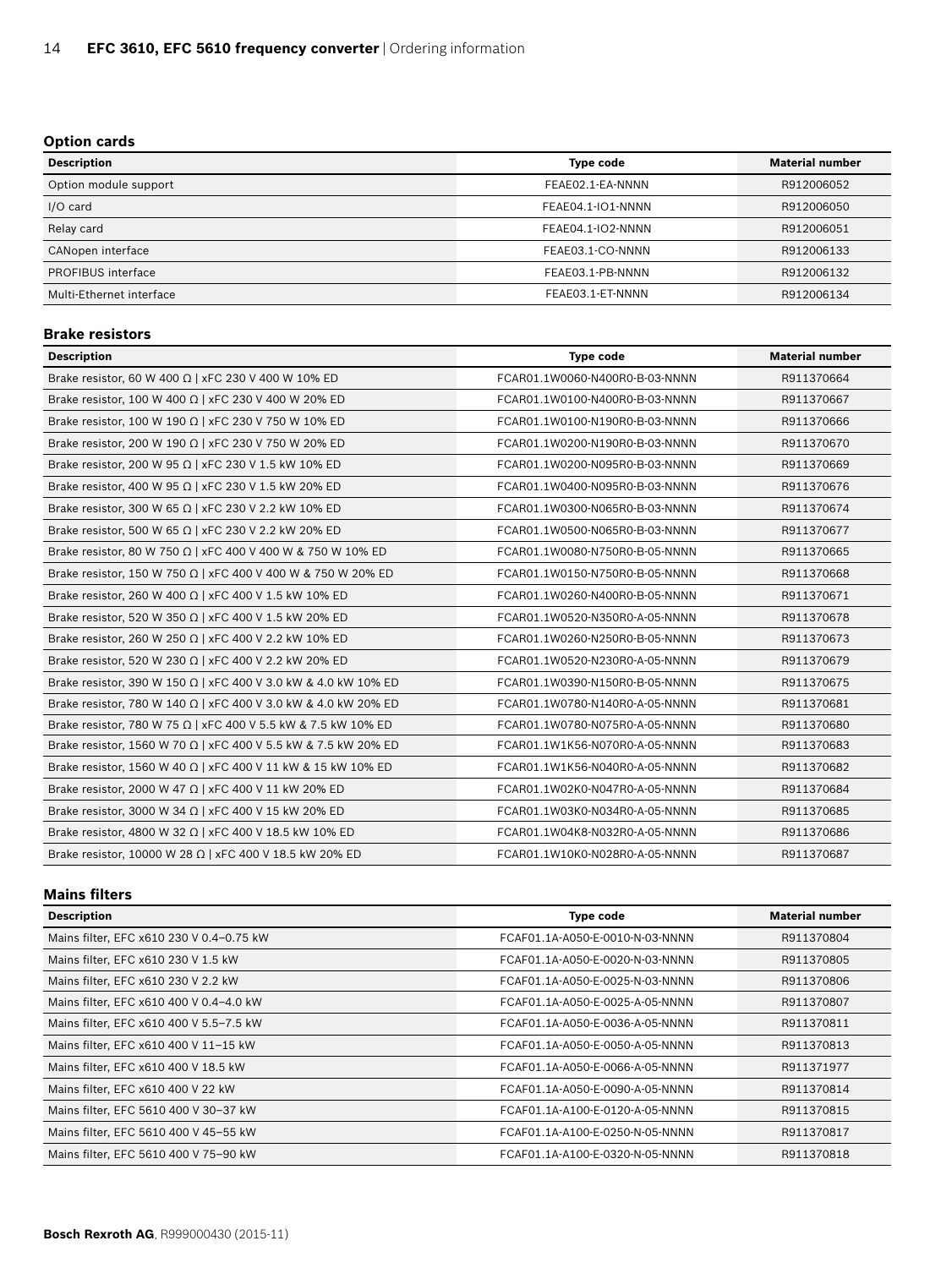#### **Option cards**

| <b>Description</b>       | <b>Type code</b>  | <b>Material number</b> |
|--------------------------|-------------------|------------------------|
| Option module support    | FEAE02.1-EA-NNNN  | R912006052             |
| I/O card                 | FEAE04.1-IO1-NNNN | R912006050             |
| Relay card               | FEAE04.1-IO2-NNNN | R912006051             |
| CANopen interface        | FEAE03.1-CO-NNNN  | R912006133             |
| PROFIBUS interface       | FEAE03.1-PB-NNNN  | R912006132             |
| Multi-Ethernet interface | FEAE03.1-ET-NNNN  | R912006134             |

#### **Brake resistors**

| <b>Description</b>                                             | <b>Type code</b>               | <b>Material number</b> |  |
|----------------------------------------------------------------|--------------------------------|------------------------|--|
| Brake resistor, 60 W 400 $\Omega$   xFC 230 V 400 W 10% ED     | FCAR01.1W0060-N400R0-B-03-NNNN | R911370664             |  |
| Brake resistor, 100 W 400 $\Omega$   xFC 230 V 400 W 20% ED    | FCAR01.1W0100-N400R0-B-03-NNNN | R911370667             |  |
| Brake resistor, 100 W 190 Ω   xFC 230 V 750 W 10% ED           | FCAR01.1W0100-N190R0-B-03-NNNN | R911370666             |  |
| Brake resistor, 200 W 190 Ω   xFC 230 V 750 W 20% ED           | FCAR01.1W0200-N190R0-B-03-NNNN | R911370670             |  |
| Brake resistor, 200 W 95 $\Omega$   xFC 230 V 1.5 kW 10% ED    | FCAR01.1W0200-N095R0-B-03-NNNN | R911370669             |  |
| Brake resistor, 400 W 95 Ω   xFC 230 V 1.5 kW 20% ED           | FCAR01.1W0400-N095R0-B-03-NNNN | R911370676             |  |
| Brake resistor, 300 W 65 $\Omega$   xFC 230 V 2.2 kW 10% ED    | FCAR01.1W0300-N065R0-B-03-NNNN | R911370674             |  |
| Brake resistor, 500 W 65 $\Omega$   xFC 230 V 2.2 kW 20% ED    | FCAR01.1W0500-N065R0-B-03-NNNN | R911370677             |  |
| Brake resistor, 80 W 750 Ω   xFC 400 V 400 W & 750 W 10% ED    | FCAR01.1W0080-N750R0-B-05-NNNN | R911370665             |  |
| Brake resistor, 150 W 750 Ω   xFC 400 V 400 W & 750 W 20% ED   | FCAR01.1W0150-N750R0-B-05-NNNN | R911370668             |  |
| Brake resistor, 260 W 400 $\Omega$   xFC 400 V 1.5 kW 10% ED   | FCAR01.1W0260-N400R0-B-05-NNNN | R911370671             |  |
| Brake resistor, 520 W 350 Ω   xFC 400 V 1.5 kW 20% ED          | FCAR01.1W0520-N350R0-A-05-NNNN | R911370678             |  |
| Brake resistor, 260 W 250 Ω   xFC 400 V 2.2 kW 10% ED          | FCAR01.1W0260-N250R0-B-05-NNNN | R911370673             |  |
| Brake resistor, 520 W 230 Ω   xFC 400 V 2.2 kW 20% ED          | FCAR01.1W0520-N230R0-A-05-NNNN | R911370679             |  |
| Brake resistor, 390 W 150 Ω   xFC 400 V 3.0 kW & 4.0 kW 10% ED | FCAR01.1W0390-N150R0-B-05-NNNN | R911370675             |  |
| Brake resistor, 780 W 140 Ω   xFC 400 V 3.0 kW & 4.0 kW 20% ED | FCAR01.1W0780-N140R0-A-05-NNNN | R911370681             |  |
| Brake resistor, 780 W 75 Ω   xFC 400 V 5.5 kW & 7.5 kW 10% ED  | FCAR01.1W0780-N075R0-A-05-NNNN | R911370680             |  |
| Brake resistor, 1560 W 70 Ω   xFC 400 V 5.5 kW & 7.5 kW 20% ED | FCAR01.1W1K56-N070R0-A-05-NNNN | R911370683             |  |
| Brake resistor, 1560 W 40 Ω   xFC 400 V 11 kW & 15 kW 10% ED   | FCAR01.1W1K56-N040R0-A-05-NNNN | R911370682             |  |
| Brake resistor, 2000 W 47 $\Omega$   xFC 400 V 11 kW 20% ED    | FCAR01.1W02K0-N047R0-A-05-NNNN | R911370684             |  |
| Brake resistor, 3000 W 34 Ω   xFC 400 V 15 kW 20% ED           | FCAR01.1W03K0-N034R0-A-05-NNNN | R911370685             |  |
| Brake resistor, 4800 W 32 Ω   xFC 400 V 18.5 kW 10% ED         | FCAR01.1W04K8-N032R0-A-05-NNNN | R911370686             |  |
| Brake resistor, 10000 W 28 Ω   xFC 400 V 18.5 kW 20% ED        | FCAR01.1W10K0-N028R0-A-05-NNNN | R911370687             |  |

#### **Mains filters**

| <b>Description</b>                       | <b>Type code</b>                | <b>Material number</b> |
|------------------------------------------|---------------------------------|------------------------|
| Mains filter, EFC x610 230 V 0.4-0.75 kW | FCAF01.1A-A050-E-0010-N-03-NNNN | R911370804             |
| Mains filter, EFC x610 230 V 1.5 kW      | FCAF01.1A-A050-E-0020-N-03-NNNN | R911370805             |
| Mains filter, EFC x610 230 V 2.2 kW      | FCAF01.1A-A050-E-0025-N-03-NNNN | R911370806             |
| Mains filter, EFC x610 400 V 0.4-4.0 kW  | FCAF01.1A-A050-E-0025-A-05-NNNN | R911370807             |
| Mains filter, EFC x610 400 V 5.5-7.5 kW  | FCAF01.1A-A050-E-0036-A-05-NNNN | R911370811             |
| Mains filter, EFC x610 400 V 11-15 kW    | FCAF01.1A-A050-E-0050-A-05-NNNN | R911370813             |
| Mains filter, EFC x610 400 V 18.5 kW     | FCAF01.1A-A050-E-0066-A-05-NNNN | R911371977             |
| Mains filter, EFC x610 400 V 22 kW       | FCAF01.1A-A050-E-0090-A-05-NNNN | R911370814             |
| Mains filter, EFC 5610 400 V 30-37 kW    | FCAF01.1A-A100-E-0120-A-05-NNNN | R911370815             |
| Mains filter, EFC 5610 400 V 45-55 kW    | FCAF01.1A-A100-E-0250-N-05-NNNN | R911370817             |
| Mains filter, EFC 5610 400 V 75-90 kW    | FCAF01.1A-A100-E-0320-N-05-NNNN | R911370818             |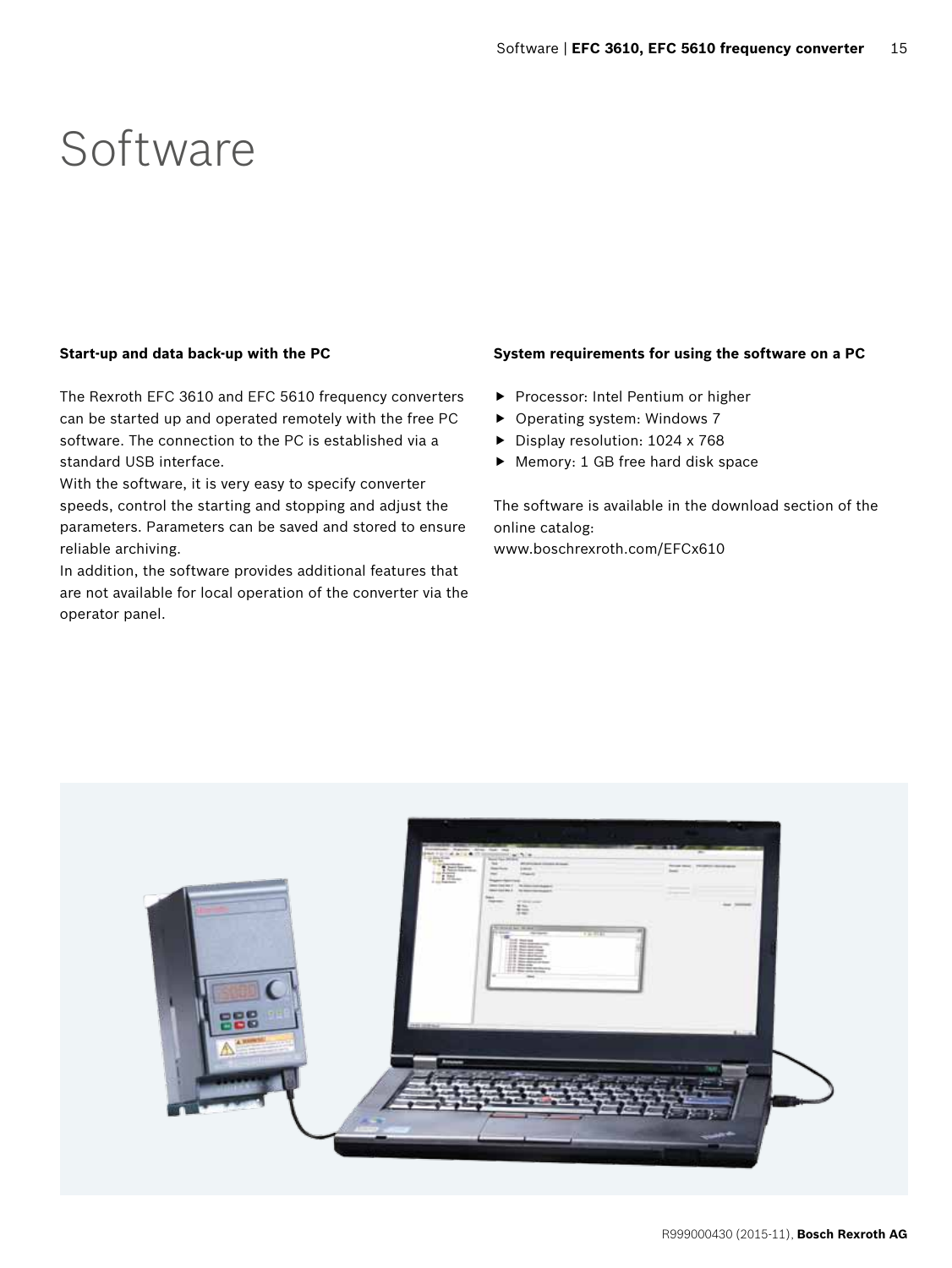### Software

#### **Start-up and data back-up with the PC**

The Rexroth EFC 3610 and EFC 5610 frequency converters can be started up and operated remotely with the free PC software. The connection to the PC is established via a standard USB interface.

With the software, it is very easy to specify converter speeds, control the starting and stopping and adjust the parameters. Parameters can be saved and stored to ensure reliable archiving.

In addition, the software provides additional features that are not available for local operation of the converter via the operator panel.

#### **System requirements for using the software on a PC**

- Processor: Intel Pentium or higher
- $\triangleright$  Operating system: Windows 7
- ▶ Display resolution: 1024 x 768
- $\blacktriangleright$  Memory: 1 GB free hard disk space

The software is available in the download section of the online catalog: www.boschrexroth.com/EFCx610